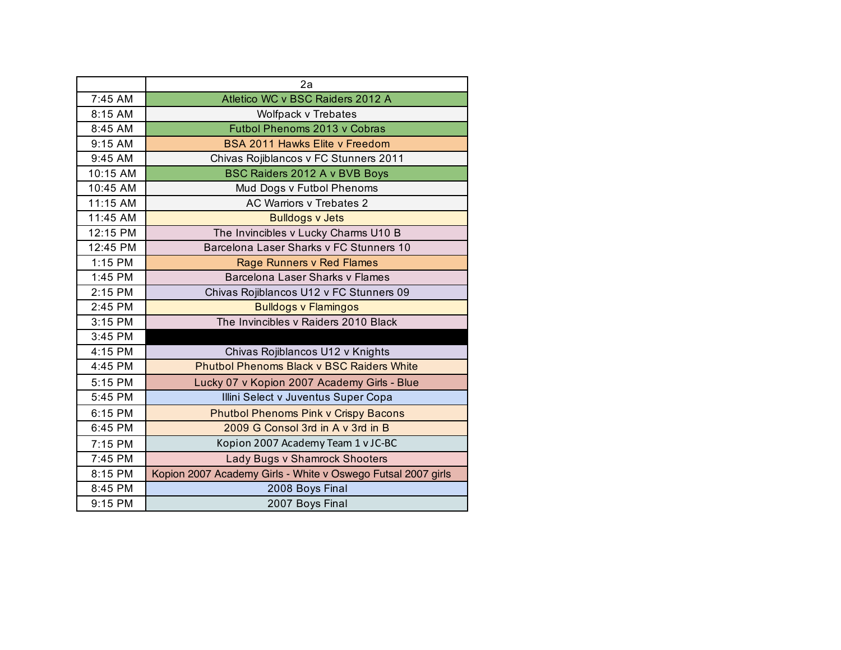|          | 2a                                                           |  |
|----------|--------------------------------------------------------------|--|
| 7:45 AM  | Atletico WC v BSC Raiders 2012 A                             |  |
| 8:15 AM  | Wolfpack v Trebates                                          |  |
| 8:45 AM  | Futbol Phenoms 2013 v Cobras                                 |  |
| 9:15 AM  | <b>BSA 2011 Hawks Elite v Freedom</b>                        |  |
| 9:45 AM  | Chivas Rojiblancos v FC Stunners 2011                        |  |
| 10:15 AM | BSC Raiders 2012 A v BVB Boys                                |  |
| 10:45 AM | Mud Dogs v Futbol Phenoms                                    |  |
| 11:15 AM | <b>AC Warriors v Trebates 2</b>                              |  |
| 11:45 AM | <b>Bulldogs v Jets</b>                                       |  |
| 12:15 PM | The Invincibles v Lucky Charms U10 B                         |  |
| 12:45 PM | Barcelona Laser Sharks v FC Stunners 10                      |  |
| 1:15 PM  | Rage Runners v Red Flames                                    |  |
| 1:45 PM  | Barcelona Laser Sharks v Flames                              |  |
| 2:15 PM  | Chivas Rojiblancos U12 v FC Stunners 09                      |  |
| 2:45 PM  | <b>Bulldogs v Flamingos</b>                                  |  |
| 3:15 PM  | The Invincibles v Raiders 2010 Black                         |  |
| 3:45 PM  |                                                              |  |
| 4:15 PM  | Chivas Rojiblancos U12 v Knights                             |  |
| 4:45 PM  | <b>Phutbol Phenoms Black v BSC Raiders White</b>             |  |
| 5:15 PM  | Lucky 07 v Kopion 2007 Academy Girls - Blue                  |  |
| 5:45 PM  | Illini Select v Juventus Super Copa                          |  |
| 6:15 PM  | <b>Phutbol Phenoms Pink v Crispy Bacons</b>                  |  |
| 6:45 PM  | 2009 G Consol 3rd in A v 3rd in B                            |  |
| 7:15 PM  | Kopion 2007 Academy Team 1 v JC-BC                           |  |
| 7:45 PM  | Lady Bugs v Shamrock Shooters                                |  |
| 8:15 PM  | Kopion 2007 Academy Girls - White v Oswego Futsal 2007 girls |  |
| 8:45 PM  | 2008 Boys Final                                              |  |
| 9:15 PM  | 2007 Boys Final                                              |  |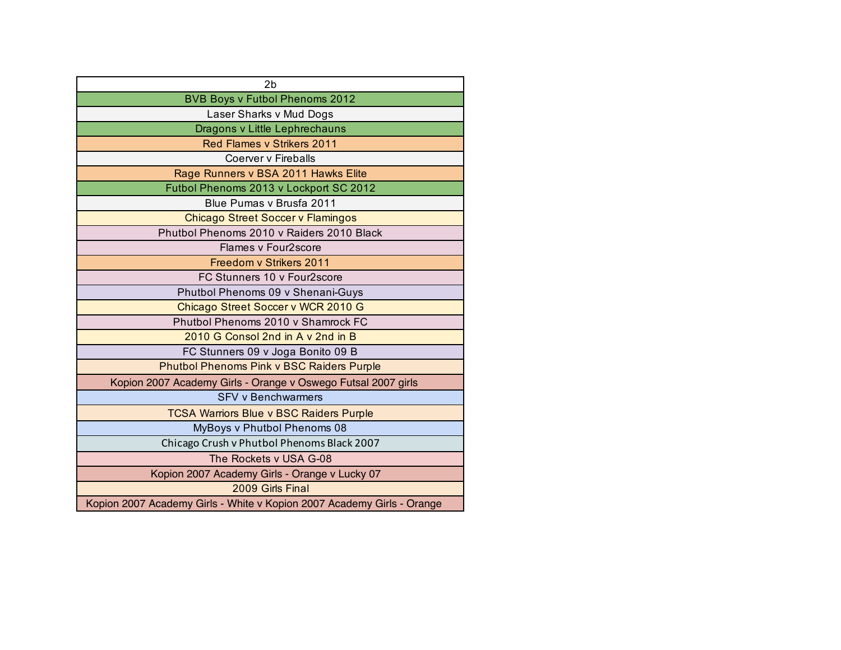| 2 <sub>b</sub>                                                         |  |  |
|------------------------------------------------------------------------|--|--|
| <b>BVB Boys v Futbol Phenoms 2012</b>                                  |  |  |
| Laser Sharks v Mud Dogs                                                |  |  |
| Dragons v Little Lephrechauns                                          |  |  |
| <b>Red Flames v Strikers 2011</b>                                      |  |  |
| Coerver v Fireballs                                                    |  |  |
| Rage Runners v BSA 2011 Hawks Elite                                    |  |  |
| Futbol Phenoms 2013 v Lockport SC 2012                                 |  |  |
| Blue Pumas v Brusfa 2011                                               |  |  |
| <b>Chicago Street Soccer v Flamingos</b>                               |  |  |
| Phutbol Phenoms 2010 v Raiders 2010 Black                              |  |  |
| Flames v Four2score                                                    |  |  |
| Freedom v Strikers 2011                                                |  |  |
| FC Stunners 10 v Four2score                                            |  |  |
| Phutbol Phenoms 09 v Shenani-Guys                                      |  |  |
| Chicago Street Soccer v WCR 2010 G                                     |  |  |
| Phutbol Phenoms 2010 v Shamrock FC                                     |  |  |
| 2010 G Consol 2nd in A y 2nd in B                                      |  |  |
| FC Stunners 09 v Joga Bonito 09 B                                      |  |  |
| <b>Phutbol Phenoms Pink v BSC Raiders Purple</b>                       |  |  |
| Kopion 2007 Academy Girls - Orange v Oswego Futsal 2007 girls          |  |  |
| <b>SFV v Benchwarmers</b>                                              |  |  |
| <b>TCSA Warriors Blue v BSC Raiders Purple</b>                         |  |  |
| MyBoys v Phutbol Phenoms 08                                            |  |  |
| Chicago Crush v Phutbol Phenoms Black 2007                             |  |  |
| The Rockets v USA G-08                                                 |  |  |
| Kopion 2007 Academy Girls - Orange v Lucky 07                          |  |  |
| 2009 Girls Final                                                       |  |  |
| Kopion 2007 Academy Girls - White v Kopion 2007 Academy Girls - Orange |  |  |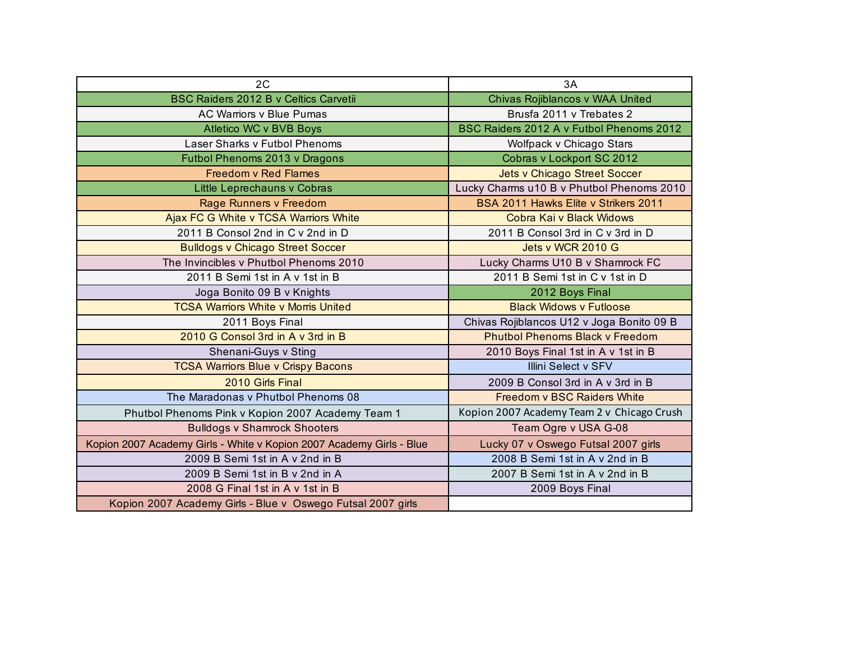| 2C                                                                   | 3A                                         |
|----------------------------------------------------------------------|--------------------------------------------|
| <b>BSC Raiders 2012 B v Celtics Carvetii</b>                         | Chivas Rojiblancos v WAA United            |
| <b>AC Warriors v Blue Pumas</b>                                      | Brusfa 2011 v Trebates 2                   |
| Atletico WC v BVB Boys                                               | BSC Raiders 2012 A v Futbol Phenoms 2012   |
| Laser Sharks v Futbol Phenoms                                        | Wolfpack v Chicago Stars                   |
| Futbol Phenoms 2013 v Dragons                                        | Cobras v Lockport SC 2012                  |
| <b>Freedom v Red Flames</b>                                          | <b>Jets v Chicago Street Soccer</b>        |
| Little Leprechauns v Cobras                                          | Lucky Charms u10 B v Phutbol Phenoms 2010  |
| Rage Runners v Freedom                                               | BSA 2011 Hawks Elite v Strikers 2011       |
| Ajax FC G White v TCSA Warriors White                                | Cobra Kai v Black Widows                   |
| 2011 B Consol 2nd in C v 2nd in D                                    | 2011 B Consol 3rd in C v 3rd in D          |
| <b>Bulldogs v Chicago Street Soccer</b>                              | Jets v WCR 2010 G                          |
| The Invincibles y Phutbol Phenoms 2010                               | Lucky Charms U10 B v Shamrock FC           |
| 2011 B Semi 1st in A v 1st in B                                      | 2011 B Semi 1st in C v 1st in D            |
| Joga Bonito 09 B v Knights                                           | 2012 Boys Final                            |
| <b>TCSA Warriors White v Morris United</b>                           | <b>Black Widows v Futloose</b>             |
| 2011 Boys Final                                                      | Chivas Rojiblancos U12 v Joga Bonito 09 B  |
| 2010 G Consol 3rd in A v 3rd in B                                    | <b>Phutbol Phenoms Black v Freedom</b>     |
| Shenani-Guys v Sting                                                 | 2010 Boys Final 1st in A v 1st in B        |
| <b>TCSA Warriors Blue v Crispy Bacons</b>                            | <b>Illini Select v SFV</b>                 |
| 2010 Girls Final                                                     | 2009 B Consol 3rd in A v 3rd in B          |
| The Maradonas v Phutbol Phenoms 08                                   | <b>Freedom v BSC Raiders White</b>         |
| Phutbol Phenoms Pink v Kopion 2007 Academy Team 1                    | Kopion 2007 Academy Team 2 v Chicago Crush |
| <b>Bulldogs v Shamrock Shooters</b>                                  | Team Ogre v USA G-08                       |
| Kopion 2007 Academy Girls - White v Kopion 2007 Academy Girls - Blue | Lucky 07 v Oswego Futsal 2007 girls        |
| 2009 B Semi 1st in A v 2nd in B                                      | 2008 B Semi 1st in A v 2nd in B            |
| 2009 B Semi 1st in B v 2nd in A                                      | 2007 B Semi 1st in A v 2nd in B            |
| 2008 G Final 1st in A v 1st in B                                     | 2009 Boys Final                            |
| Kopion 2007 Academy Girls - Blue v Oswego Futsal 2007 girls          |                                            |